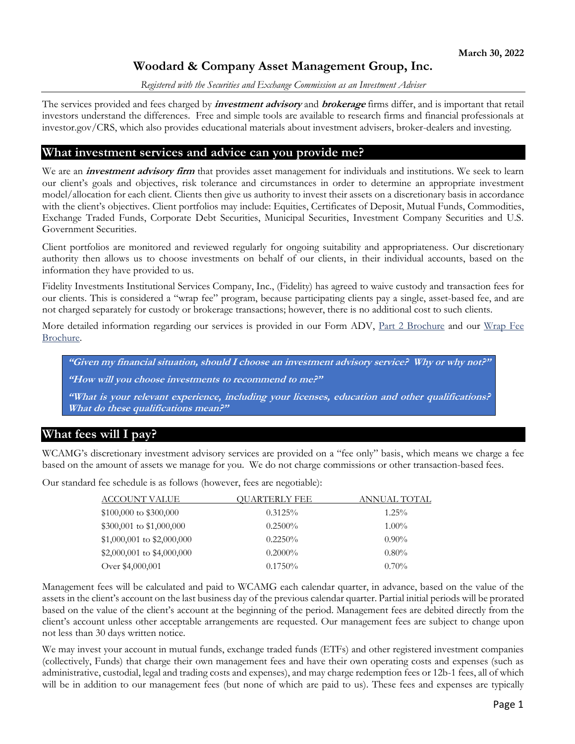# **Woodard & Company Asset Management Group, Inc.**

#### *Registered with the Securities and Exchange Commission as an Investment Adviser*

The services provided and fees charged by **investment advisory** and **brokerage** firms differ, and is important that retail investors understand the differences. Free and simple tools are available to research firms and financial professionals at investor.gov/CRS, which also provides educational materials about investment advisers, broker-dealers and investing.

### **What investment services and advice can you provide me?**

We are an *investment advisory firm* that provides asset management for individuals and institutions. We seek to learn our client's goals and objectives, risk tolerance and circumstances in order to determine an appropriate investment model/allocation for each client. Clients then give us authority to invest their assets on a discretionary basis in accordance with the client's objectives. Client portfolios may include: Equities, Certificates of Deposit, Mutual Funds, Commodities, Exchange Traded Funds, Corporate Debt Securities, Municipal Securities, Investment Company Securities and U.S. Government Securities.

Client portfolios are monitored and reviewed regularly for ongoing suitability and appropriateness. Our discretionary authority then allows us to choose investments on behalf of our clients, in their individual accounts, based on the information they have provided to us.

Fidelity Investments Institutional Services Company, Inc., (Fidelity) has agreed to waive custody and transaction fees for our clients. This is considered a "wrap fee" program, because participating clients pay a single, asset-based fee, and are not charged separately for custody or brokerage transactions; however, there is no additional cost to such clients.

More detailed information regarding our services is provided in our Form ADV, Part 2 Brochure and our Wrap Fee Brochure.

**"Given my financial situation, should I choose an investment advisory service? Why or why not?"**

**"How will you choose investments to recommend to me?"**

**"What is your relevant experience, including your licenses, education and other qualifications? What do these qualifications mean?"**

### **What fees will I pay?**

WCAMG's discretionary investment advisory services are provided on a "fee only" basis, which means we charge a fee based on the amount of assets we manage for you. We do not charge commissions or other transaction-based fees.

Our standard fee schedule is as follows (however, fees are negotiable):

| ACCOUNT VALUE              | OUARTERLY FEE | ANNUAL TOTAL |
|----------------------------|---------------|--------------|
| $$100,000$ to $$300,000$   | 0.3125%       | $1.25\%$     |
| \$300,001 to \$1,000,000   | $0.2500\%$    | $1.00\%$     |
| \$1,000,001 to \$2,000,000 | $0.2250\%$    | $0.90\%$     |
| \$2,000,001 to \$4,000,000 | $0.2000\%$    | $0.80\%$     |
| Over \$4,000,001           | $0.1750\%$    | $0.70\%$     |

Management fees will be calculated and paid to WCAMG each calendar quarter, in advance, based on the value of the assets in the client's account on the last business day of the previous calendar quarter. Partial initial periods will be prorated based on the value of the client's account at the beginning of the period. Management fees are debited directly from the client's account unless other acceptable arrangements are requested. Our management fees are subject to change upon not less than 30 days written notice.

We may invest your account in mutual funds, exchange traded funds (ETFs) and other registered investment companies (collectively, Funds) that charge their own management fees and have their own operating costs and expenses (such as administrative, custodial, legal and trading costs and expenses), and may charge redemption fees or 12b-1 fees, all of which will be in addition to our management fees (but none of which are paid to us). These fees and expenses are typically